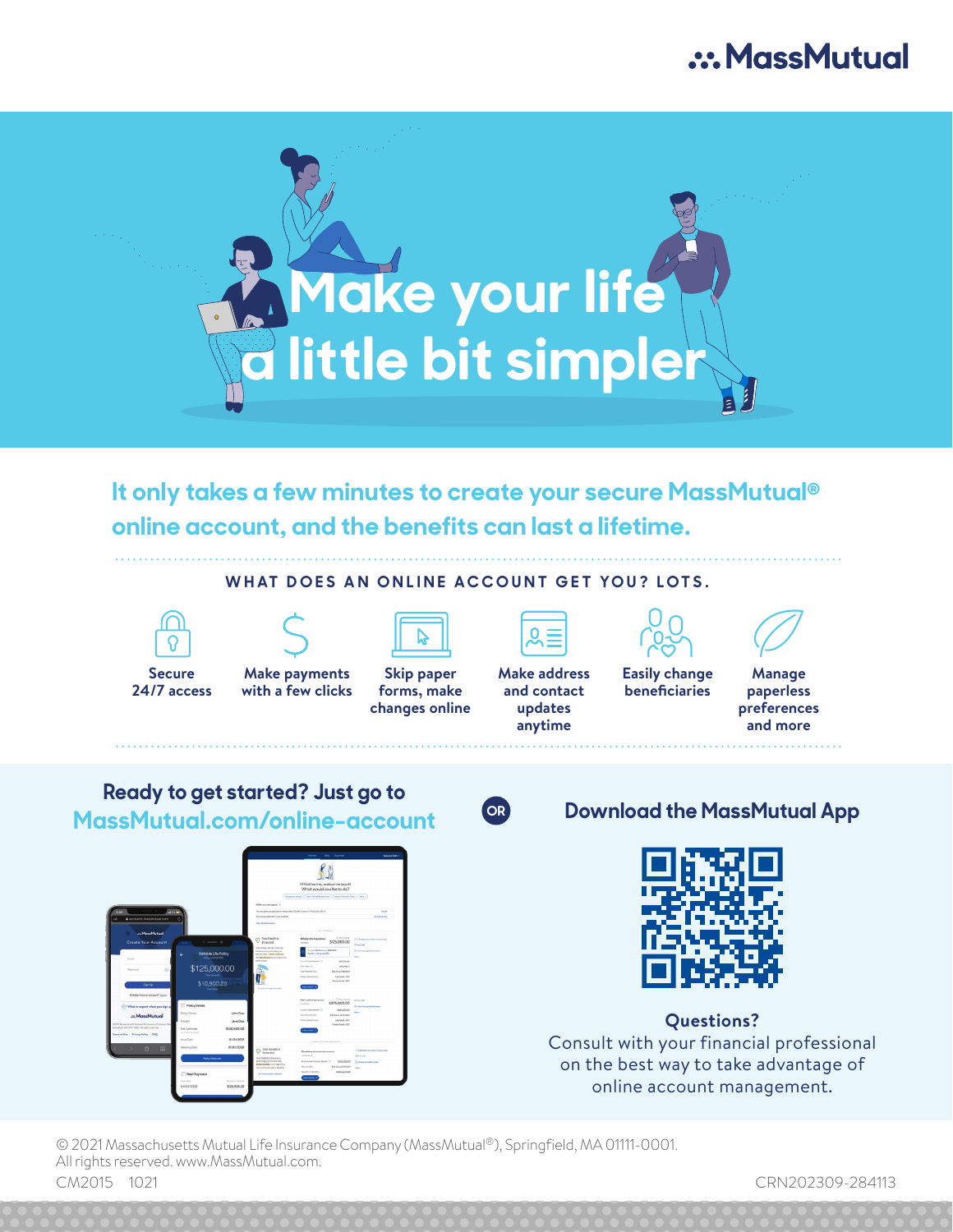## .: MassMutual



**It only takes a few minutes to create your secure MassMutual® online account, and the benefits can last a lifetime.** 

#### **WHAT DOES AN ONLINE ACCOUNT GET YOU? LOTS.**



**Secure 24/7 access**

**Make payments with a few clicks**

r e



**Skip paper forms, make changes online**



**anytime Easily change beneficiaries**





**Manage paperless preferences and more**

**Ready to get started? Just go to MassMutual.com/online-account OR Download the MassMutual App**

\$125,000.00





**Questions?**  Consult with your financial professional on the best way to take advantage of online account management.

© 2021 Massachusetts Mutual Life Insurance Company (MassMutual®), Springfield, MA 01111-0001. All rights reserved. www.MassMutual.com. CM2015 1021 CRN202309-284113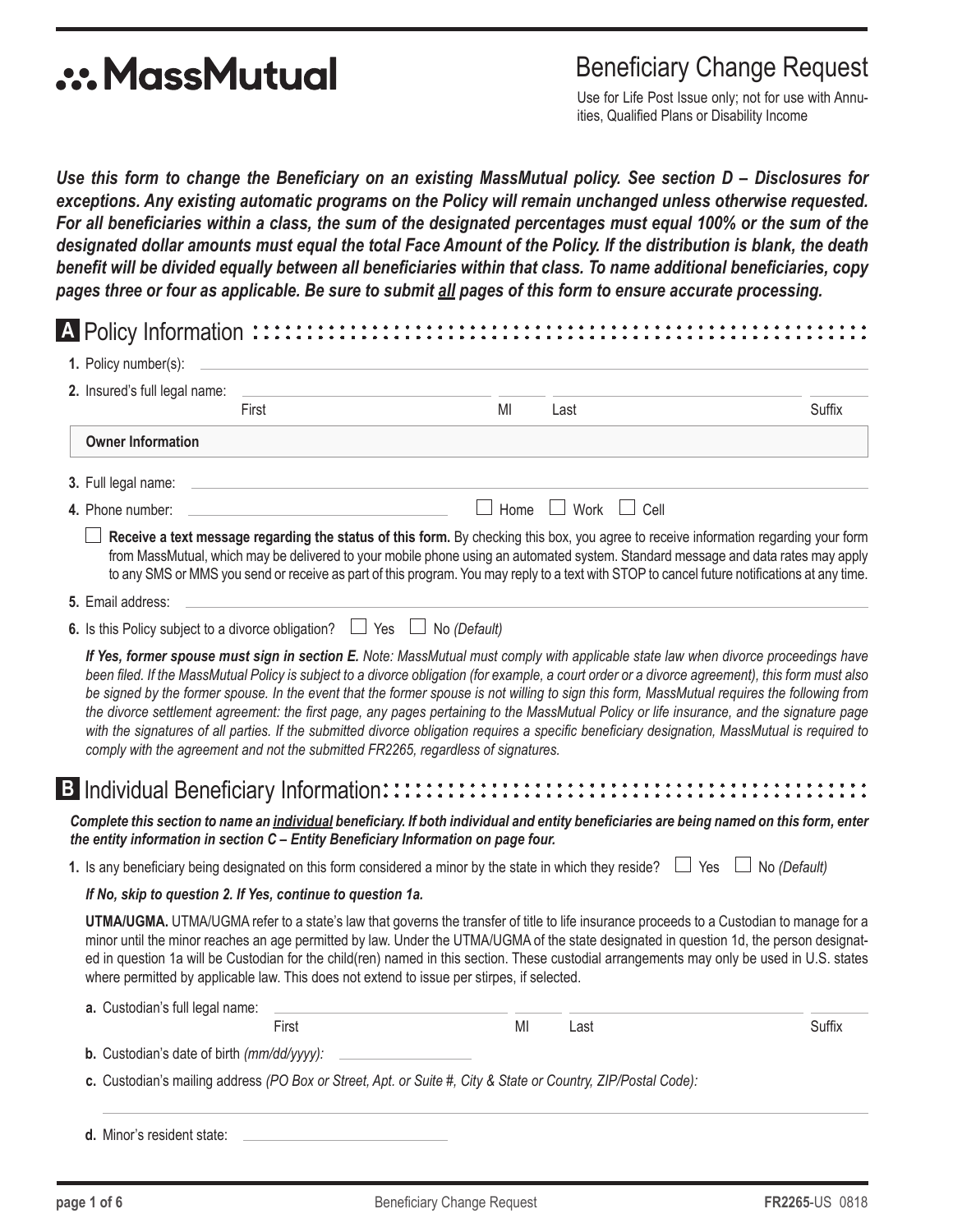# **.:. MassMutual**

### Beneficiary Change Request

Use for Life Post Issue only; not for use with Annuities, Qualified Plans or Disability Income

*Use this form to change the Beneficiary on an existing MassMutual policy. See section D – Disclosures for exceptions. Any existing automatic programs on the Policy will remain unchanged unless otherwise requested. For all beneficiaries within a class, the sum of the designated percentages must equal 100% or the sum of the designated dollar amounts must equal the total Face Amount of the Policy. If the distribution is blank, the death benefit will be divided equally between all beneficiaries within that class. To name additional beneficiaries, copy pages three or four as applicable. Be sure to submit all pages of this form to ensure accurate processing.*

| 2. Insured's full legal name:                                                                                                                                                                                                  |                                                                                                                                                                                                                                                                                                                                                                                                                                             |                     |
|--------------------------------------------------------------------------------------------------------------------------------------------------------------------------------------------------------------------------------|---------------------------------------------------------------------------------------------------------------------------------------------------------------------------------------------------------------------------------------------------------------------------------------------------------------------------------------------------------------------------------------------------------------------------------------------|---------------------|
| First                                                                                                                                                                                                                          | MI<br>Last                                                                                                                                                                                                                                                                                                                                                                                                                                  | Suffix              |
| <b>Owner Information</b>                                                                                                                                                                                                       |                                                                                                                                                                                                                                                                                                                                                                                                                                             |                     |
| 3. Full legal name:                                                                                                                                                                                                            |                                                                                                                                                                                                                                                                                                                                                                                                                                             |                     |
| 4. Phone number:                                                                                                                                                                                                               | Home<br>$\Box$ Work $\Box$ Cell                                                                                                                                                                                                                                                                                                                                                                                                             |                     |
|                                                                                                                                                                                                                                | Receive a text message regarding the status of this form. By checking this box, you agree to receive information regarding your form<br>from MassMutual, which may be delivered to your mobile phone using an automated system. Standard message and data rates may apply<br>to any SMS or MMS you send or receive as part of this program. You may reply to a text with STOP to cancel future notifications at any time.                   |                     |
| 5. Email address:                                                                                                                                                                                                              |                                                                                                                                                                                                                                                                                                                                                                                                                                             |                     |
| 6. Is this Policy subject to a divorce obligation? $\Box$ Yes $\Box$                                                                                                                                                           | No (Default)                                                                                                                                                                                                                                                                                                                                                                                                                                |                     |
| comply with the agreement and not the submitted FR2265, regardless of signatures.                                                                                                                                              | be signed by the former spouse. In the event that the former spouse is not willing to sign this form, MassMutual requires the following from<br>the divorce settlement agreement: the first page, any pages pertaining to the MassMutual Policy or life insurance, and the signature page<br>with the signatures of all parties. If the submitted divorce obligation requires a specific beneficiary designation, MassMutual is required to |                     |
| Complete this section to name an individual beneficiary. If both individual and entity beneficiaries are being named on this form, enter<br>the entity information in section C - Entity Beneficiary Information on page four. |                                                                                                                                                                                                                                                                                                                                                                                                                                             |                     |
| 1. Is any beneficiary being designated on this form considered a minor by the state in which they reside? $\Box$ Yes                                                                                                           |                                                                                                                                                                                                                                                                                                                                                                                                                                             | $\Box$ No (Default) |
| If No, skip to question 2. If Yes, continue to question 1a.                                                                                                                                                                    |                                                                                                                                                                                                                                                                                                                                                                                                                                             |                     |
|                                                                                                                                                                                                                                | UTMA/UGMA. UTMA/UGMA refer to a state's law that governs the transfer of title to life insurance proceeds to a Custodian to manage for a<br>minor until the minor reaches an age permitted by law. Under the UTMA/UGMA of the state designated in question 1d, the person designat-<br>ed in question 1a will be Custodian for the child(ren) named in this section. These custodial arrangements may only be used in U.S. states           |                     |
| where permitted by applicable law. This does not extend to issue per stirpes, if selected.                                                                                                                                     |                                                                                                                                                                                                                                                                                                                                                                                                                                             |                     |
| a. Custodian's full legal name:                                                                                                                                                                                                |                                                                                                                                                                                                                                                                                                                                                                                                                                             |                     |
| First<br>b. Custodian's date of birth (mm/dd/yyyy):                                                                                                                                                                            | MI<br>Last                                                                                                                                                                                                                                                                                                                                                                                                                                  | Suffix              |

**d.** Minor's resident state: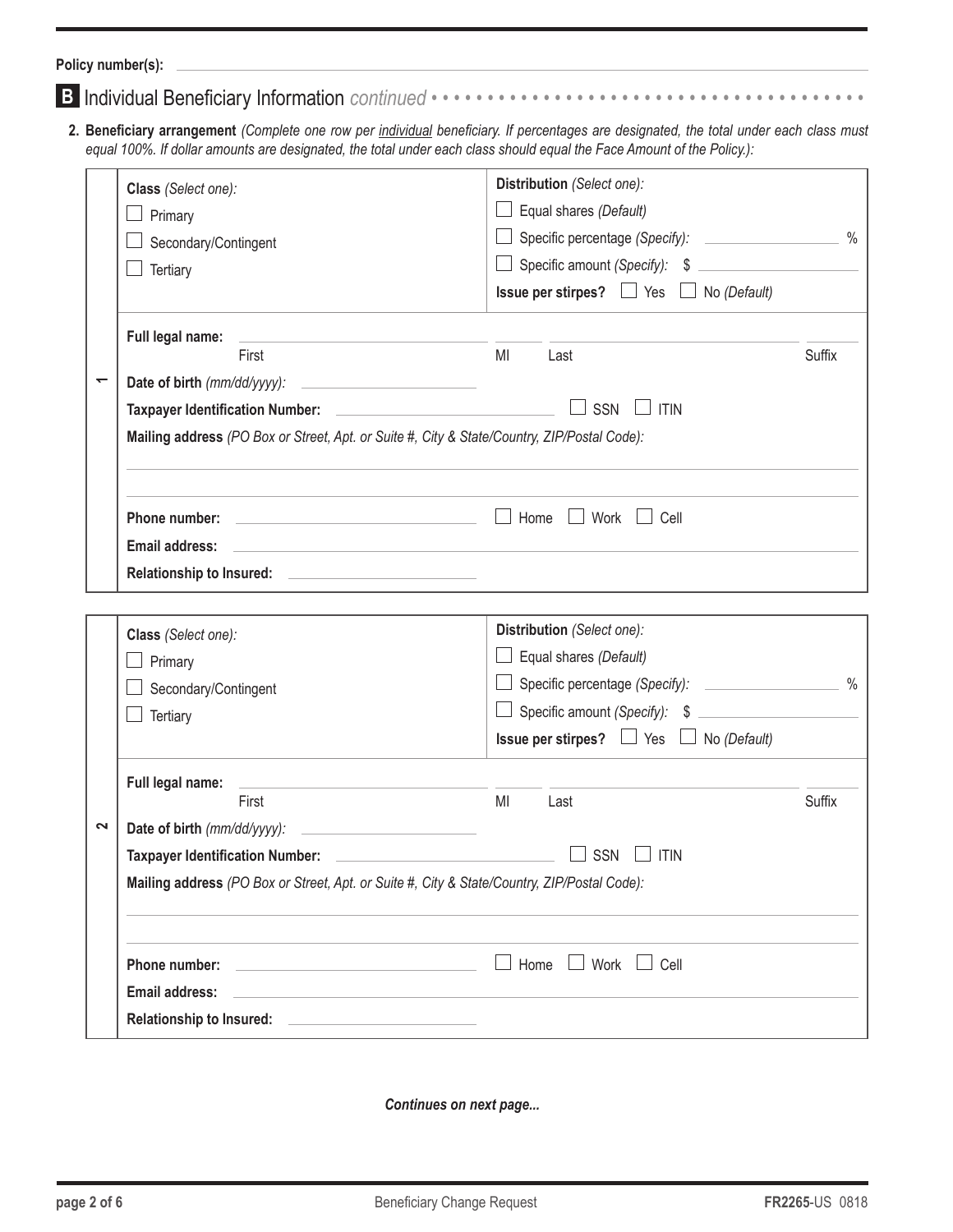**Policy number(s):**

|--|--|--|--|--|

**2. Beneficiary arrangement** *(Complete one row per individual beneficiary. If percentages are designated, the total under each class must equal 100%. If dollar amounts are designated, the total under each class should equal the Face Amount of the Policy.):*

|             | Class (Select one):                                                                         | Distribution (Select one):                               |               |  |  |
|-------------|---------------------------------------------------------------------------------------------|----------------------------------------------------------|---------------|--|--|
| Primary     |                                                                                             | $\Box$ Equal shares (Default)                            |               |  |  |
|             | Secondary/Contingent                                                                        |                                                          | $\%$          |  |  |
|             | Tertiary                                                                                    | Specific amount (Specify): \$                            |               |  |  |
|             |                                                                                             | <b>Issue per stirpes?</b> $\Box$ Yes $\Box$ No (Default) |               |  |  |
|             | Full legal name:                                                                            |                                                          |               |  |  |
|             | First                                                                                       | MI<br>Last                                               | Suffix        |  |  |
| ↽           |                                                                                             |                                                          |               |  |  |
|             | SSN<br><b>ITIN</b>                                                                          |                                                          |               |  |  |
|             | Mailing address (PO Box or Street, Apt. or Suite #, City & State/Country, ZIP/Postal Code): |                                                          |               |  |  |
|             | the control of the control of the control of the control of the control of the control of   |                                                          |               |  |  |
|             | <b>Phone number:</b> $\qquad \qquad \qquad \Box$ Home $\Box$ Work $\Box$ Cell               |                                                          |               |  |  |
|             | <b>Email address:</b>                                                                       |                                                          |               |  |  |
|             | Relationship to Insured: <u>____________________________</u>                                |                                                          |               |  |  |
|             |                                                                                             |                                                          |               |  |  |
|             | Class (Select one):                                                                         | Distribution (Select one):                               |               |  |  |
|             | Primary                                                                                     | $\Box$ Equal shares (Default)                            |               |  |  |
|             | Secondary/Contingent                                                                        |                                                          | $\frac{0}{0}$ |  |  |
|             | Tertiary                                                                                    | □ Specific amount (Specify): \$                          |               |  |  |
|             |                                                                                             | <b>Issue per stirpes?</b> $\Box$ Yes $\Box$ No (Default) |               |  |  |
|             | Full legal name:                                                                            |                                                          |               |  |  |
|             | First                                                                                       | MI<br>Last                                               | Suffix        |  |  |
| $\mathbf 2$ | Date of birth (mm/dd/yyyy):                                                                 |                                                          |               |  |  |
|             | <b>Taxpayer Identification Number:</b>                                                      | SSN<br><b>ITIN</b>                                       |               |  |  |
|             | Mailing address (PO Box or Street, Apt. or Suite #, City & State/Country, ZIP/Postal Code): |                                                          |               |  |  |
|             |                                                                                             |                                                          |               |  |  |
|             | Phone number:                                                                               | Home<br>$\Box$ Work $\Box$ Cell                          |               |  |  |
|             | <b>Email address:</b>                                                                       |                                                          |               |  |  |
|             | Relationship to Insured: <u>____________________________</u>                                |                                                          |               |  |  |
|             |                                                                                             |                                                          |               |  |  |

*Continues on next page...*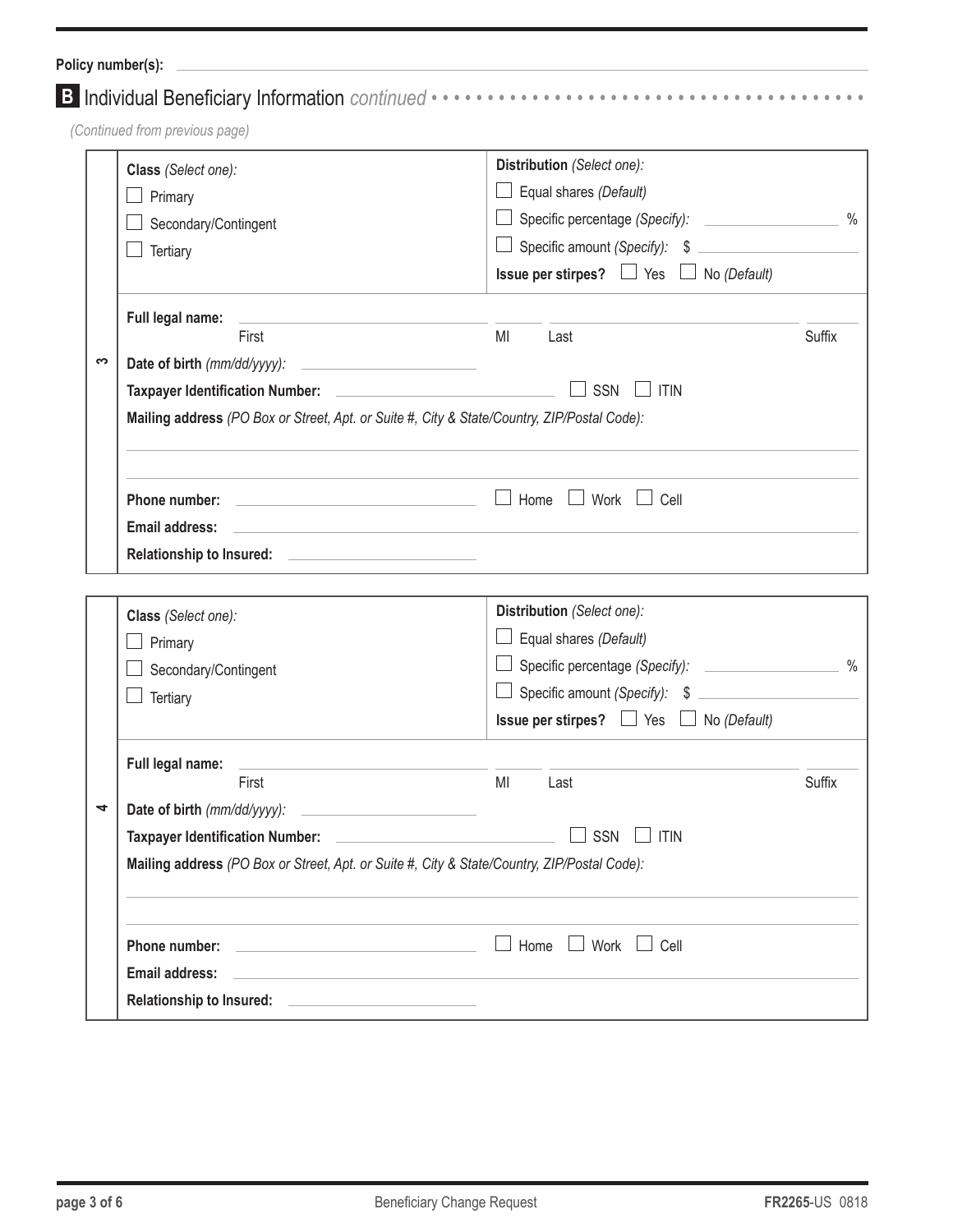|   | Class (Select one):                                                                                                                                       | Distribution (Select one):                                                                                       |               |  |
|---|-----------------------------------------------------------------------------------------------------------------------------------------------------------|------------------------------------------------------------------------------------------------------------------|---------------|--|
|   | Primary                                                                                                                                                   | Equal shares (Default)                                                                                           |               |  |
|   | Secondary/Contingent                                                                                                                                      | Specific percentage (Specify): _____________________ %                                                           |               |  |
|   | Tertiary                                                                                                                                                  | Specific amount (Specify): \$                                                                                    |               |  |
|   |                                                                                                                                                           | <b>Issue per stirpes?</b> $\Box$ Yes $\Box$ No (Default)                                                         |               |  |
|   | Full legal name:                                                                                                                                          |                                                                                                                  |               |  |
|   | First                                                                                                                                                     | MI<br>Last                                                                                                       | <b>Suffix</b> |  |
| က |                                                                                                                                                           |                                                                                                                  |               |  |
|   |                                                                                                                                                           | SSN<br><b>ITIN</b>                                                                                               |               |  |
|   | Mailing address (PO Box or Street, Apt. or Suite #, City & State/Country, ZIP/Postal Code):                                                               |                                                                                                                  |               |  |
|   |                                                                                                                                                           |                                                                                                                  |               |  |
|   | Email address:                                                                                                                                            | and the control of the control of the control of the control of the control of the control of the control of the |               |  |
|   | Relationship to Insured: <u>______________________________</u>                                                                                            |                                                                                                                  |               |  |
|   | Class (Select one):                                                                                                                                       | Distribution (Select one):                                                                                       |               |  |
|   | Primary                                                                                                                                                   | Equal shares (Default)                                                                                           |               |  |
|   |                                                                                                                                                           | Specific percentage (Specify):                                                                                   | $\frac{0}{0}$ |  |
|   | Secondary/Contingent                                                                                                                                      | Specific amount (Specify): \$                                                                                    |               |  |
|   | Tertiary                                                                                                                                                  | <b>Issue per stirpes?</b> $\Box$ Yes $\Box$ No (Default)                                                         |               |  |
|   | Full legal name:<br>and the control of the control of the control of the control of the control of the control of                                         |                                                                                                                  |               |  |
|   | First                                                                                                                                                     | MI<br>Last                                                                                                       | Suffix        |  |
| 4 |                                                                                                                                                           |                                                                                                                  |               |  |
|   | SSN<br>Taxpayer Identification Number: 2008<br>$\Box$ ITIN<br>Mailing address (PO Box or Street, Apt. or Suite #, City & State/Country, ZIP/Postal Code): |                                                                                                                  |               |  |
|   |                                                                                                                                                           |                                                                                                                  |               |  |
|   |                                                                                                                                                           |                                                                                                                  |               |  |
|   |                                                                                                                                                           | Home<br>$\Box$ Work $\Box$ Cell                                                                                  |               |  |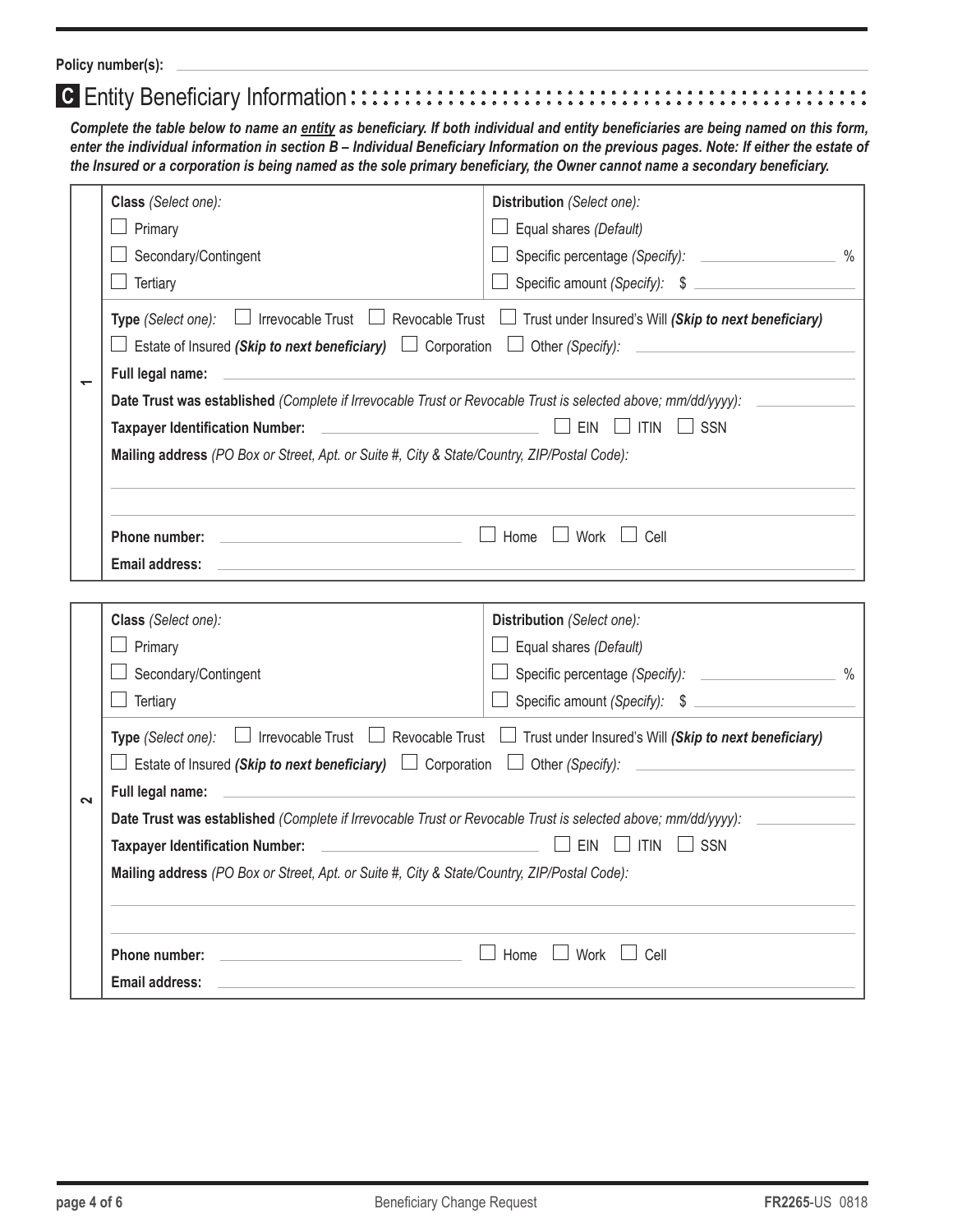**Policy number(s):**

### **C** Entity Beneficiary Information::::::::::::::::::::::::::::::

*Complete the table below to name an entity as beneficiary. If both individual and entity beneficiaries are being named on this form, enter the individual information in section B – Individual Beneficiary Information on the previous pages. Note: If either the estate of the Insured or a corporation is being named as the sole primary beneficiary, the Owner cannot name a secondary beneficiary.*

|        | Class (Select one):<br>$\perp$ Primary<br>Secondary/Contingent<br>Tertiary<br>Type (Select one): $\Box$ Irrevocable Trust $\Box$ Revocable Trust $\Box$ Trust under Insured's Will (Skip to next beneficiary)<br>$\Box$ Estate of Insured (Skip to next beneficiary) $\Box$ Corporation $\Box$ Other (Specify):                                                                                                                                                                                                                                                                                                                                              | Distribution (Select one):<br>Equal shares (Default)<br>Specific percentage (Specify):<br>$\frac{9}{6}$<br>Specific amount (Specify): \$ |  |  |
|--------|--------------------------------------------------------------------------------------------------------------------------------------------------------------------------------------------------------------------------------------------------------------------------------------------------------------------------------------------------------------------------------------------------------------------------------------------------------------------------------------------------------------------------------------------------------------------------------------------------------------------------------------------------------------|------------------------------------------------------------------------------------------------------------------------------------------|--|--|
|        | Full legal name:<br>Date Trust was established (Complete if Irrevocable Trust or Revocable Trust is selected above; mm/dd/yyyy):<br>EIN<br>$\Box$ Itin<br>$\Box$ SSN<br><u> 1990 - John Stone, mars et al. (</u><br><b>Taxpayer Identification Number:</b><br>Mailing address (PO Box or Street, Apt. or Suite #, City & State/Country, ZIP/Postal Code):<br>$\Box$ Work $\Box$ Cell<br>$\Box$ Home<br>Phone number:<br><u> 1999 - John Harry Harry Harry Harry Harry Harry Harry Harry Harry Harry Harry Harry Harry Harry Harry Harry Harry Harry Harry Harry Harry Harry Harry Harry Harry Harry Harry Harry Harry Harry Harry Harry Harry Harry Harr</u> |                                                                                                                                          |  |  |
|        | <b>Email address:</b>                                                                                                                                                                                                                                                                                                                                                                                                                                                                                                                                                                                                                                        |                                                                                                                                          |  |  |
|        | Class (Select one):                                                                                                                                                                                                                                                                                                                                                                                                                                                                                                                                                                                                                                          | Distribution (Select one):                                                                                                               |  |  |
|        | Primary                                                                                                                                                                                                                                                                                                                                                                                                                                                                                                                                                                                                                                                      | Equal shares (Default)                                                                                                                   |  |  |
|        | Secondary/Contingent                                                                                                                                                                                                                                                                                                                                                                                                                                                                                                                                                                                                                                         | $\frac{0}{0}$<br>Specific percentage (Specify):                                                                                          |  |  |
|        | Tertiary                                                                                                                                                                                                                                                                                                                                                                                                                                                                                                                                                                                                                                                     | Specific amount (Specify): \$                                                                                                            |  |  |
|        | Type (Select one): $\Box$ Irrevocable Trust $\Box$ Revocable Trust $\Box$ Trust under Insured's Will (Skip to next beneficiary)                                                                                                                                                                                                                                                                                                                                                                                                                                                                                                                              |                                                                                                                                          |  |  |
|        | $\Box$ Estate of Insured (Skip to next beneficiary) $\Box$ Corporation $\Box$ Other (Specify):                                                                                                                                                                                                                                                                                                                                                                                                                                                                                                                                                               |                                                                                                                                          |  |  |
| $\sim$ | Full legal name:<br>Date Trust was established (Complete if Irrevocable Trust or Revocable Trust is selected above; mm/dd/yyyy):                                                                                                                                                                                                                                                                                                                                                                                                                                                                                                                             |                                                                                                                                          |  |  |
|        | EIN<br>$\perp$ itin<br>$\sqcup$ SSN<br><b>Taxpayer Identification Number:</b>                                                                                                                                                                                                                                                                                                                                                                                                                                                                                                                                                                                |                                                                                                                                          |  |  |
|        | Mailing address (PO Box or Street, Apt. or Suite #, City & State/Country, ZIP/Postal Code):                                                                                                                                                                                                                                                                                                                                                                                                                                                                                                                                                                  |                                                                                                                                          |  |  |
|        |                                                                                                                                                                                                                                                                                                                                                                                                                                                                                                                                                                                                                                                              |                                                                                                                                          |  |  |
|        | Phone number:                                                                                                                                                                                                                                                                                                                                                                                                                                                                                                                                                                                                                                                | Home $\Box$ Work $\Box$ Cell<br>$\blacksquare$                                                                                           |  |  |
|        | <b>Email address:</b>                                                                                                                                                                                                                                                                                                                                                                                                                                                                                                                                                                                                                                        |                                                                                                                                          |  |  |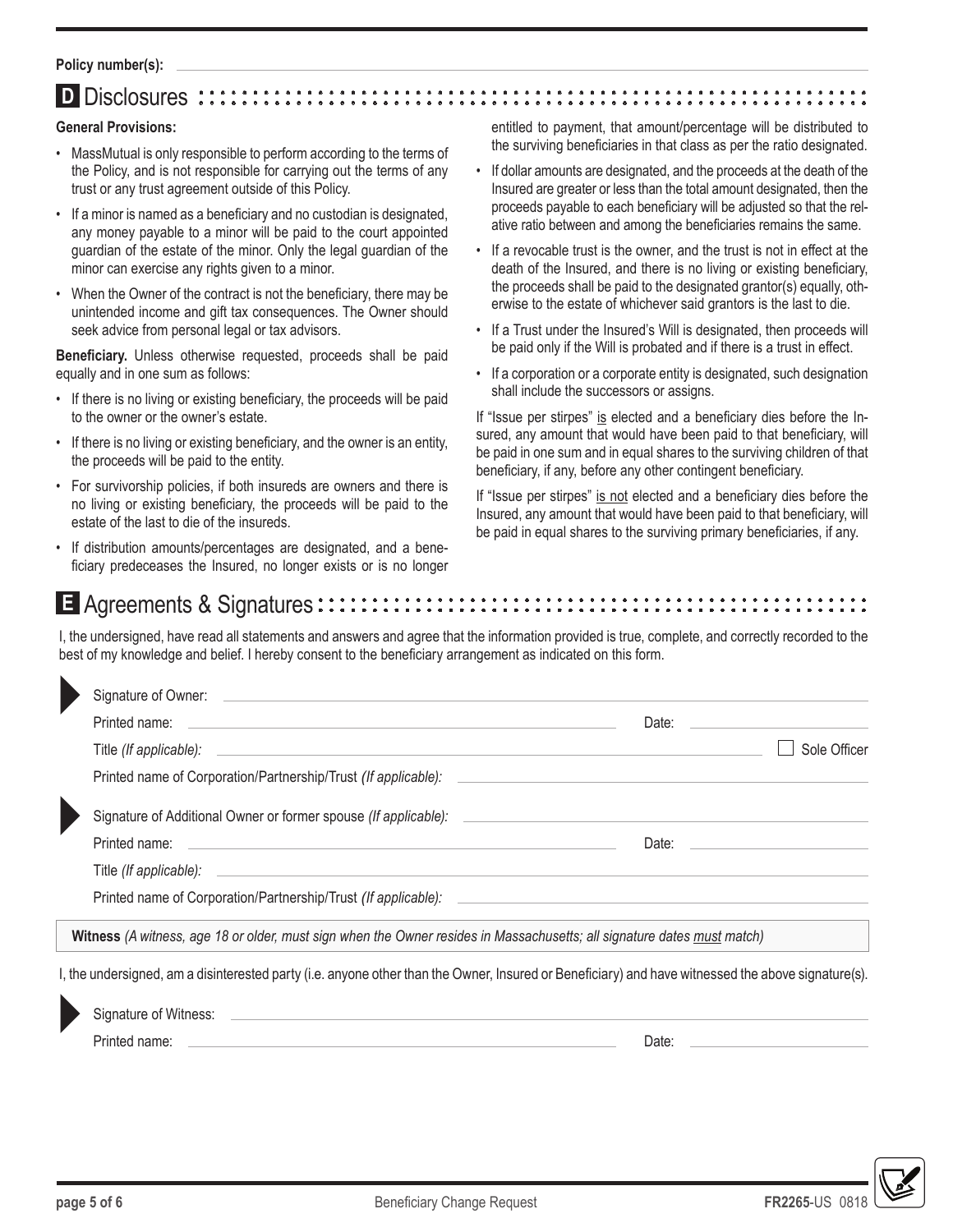#### **Policy number(s):**

#### **D** Disclosures :

#### **General Provisions:**

- MassMutual is only responsible to perform according to the terms of the Policy, and is not responsible for carrying out the terms of any trust or any trust agreement outside of this Policy.
- If a minor is named as a beneficiary and no custodian is designated, any money payable to a minor will be paid to the court appointed guardian of the estate of the minor. Only the legal guardian of the minor can exercise any rights given to a minor.
- When the Owner of the contract is not the beneficiary, there may be unintended income and gift tax consequences. The Owner should seek advice from personal legal or tax advisors.

**Beneficiary.** Unless otherwise requested, proceeds shall be paid equally and in one sum as follows:

- If there is no living or existing beneficiary, the proceeds will be paid to the owner or the owner's estate.
- If there is no living or existing beneficiary, and the owner is an entity, the proceeds will be paid to the entity.
- For survivorship policies, if both insureds are owners and there is no living or existing beneficiary, the proceeds will be paid to the estate of the last to die of the insureds.
- If distribution amounts/percentages are designated, and a beneficiary predeceases the Insured, no longer exists or is no longer

entitled to payment, that amount/percentage will be distributed to the surviving beneficiaries in that class as per the ratio designated.

- If dollar amounts are designated, and the proceeds at the death of the Insured are greater or less than the total amount designated, then the proceeds payable to each beneficiary will be adjusted so that the relative ratio between and among the beneficiaries remains the same.
- If a revocable trust is the owner, and the trust is not in effect at the death of the Insured, and there is no living or existing beneficiary, the proceeds shall be paid to the designated grantor(s) equally, otherwise to the estate of whichever said grantors is the last to die.
- If a Trust under the Insured's Will is designated, then proceeds will be paid only if the Will is probated and if there is a trust in effect.
- If a corporation or a corporate entity is designated, such designation shall include the successors or assigns.

If "Issue per stirpes" is elected and a beneficiary dies before the Insured, any amount that would have been paid to that beneficiary, will be paid in one sum and in equal shares to the surviving children of that beneficiary, if any, before any other contingent beneficiary.

If "Issue per stirpes" is not elected and a beneficiary dies before the Insured, any amount that would have been paid to that beneficiary, will be paid in equal shares to the surviving primary beneficiaries, if any.

### E Agreements & Signatures  $\cdots \cdots \cdots$

I, the undersigned, have read all statements and answers and agree that the information provided is true, complete, and correctly recorded to the best of my knowledge and belief. I hereby consent to the beneficiary arrangement as indicated on this form.

| Printed name: The contract of the contract of the contract of the contract of the contract of the contract of the contract of the contract of the contract of the contract of the contract of the contract of the contract of | Date: <u>____________</u>                                                                                                                                                                                                      |              |
|-------------------------------------------------------------------------------------------------------------------------------------------------------------------------------------------------------------------------------|--------------------------------------------------------------------------------------------------------------------------------------------------------------------------------------------------------------------------------|--------------|
|                                                                                                                                                                                                                               |                                                                                                                                                                                                                                | Sole Officer |
| Printed name of Corporation/Partnership/Trust (If applicable):                                                                                                                                                                |                                                                                                                                                                                                                                |              |
| Signature of Additional Owner or former spouse (If applicable): __________                                                                                                                                                    |                                                                                                                                                                                                                                |              |
|                                                                                                                                                                                                                               | Date: the contract of the contract of the contract of the contract of the contract of the contract of the contract of the contract of the contract of the contract of the contract of the contract of the contract of the cont |              |
|                                                                                                                                                                                                                               |                                                                                                                                                                                                                                |              |
| Printed name of Corporation/Partnership/Trust (If applicable): ___________                                                                                                                                                    |                                                                                                                                                                                                                                |              |
| Witness (A witness, age 18 or older, must sign when the Owner resides in Massachusetts; all signature dates must match)                                                                                                       |                                                                                                                                                                                                                                |              |

I, the undersigned, am a disinterested party (i.e. anyone other than the Owner, Insured or Beneficiary) and have witnessed the above signature(s).

|  | Signature of Witness: |       |
|--|-----------------------|-------|
|  | Printed name:         | Date. |